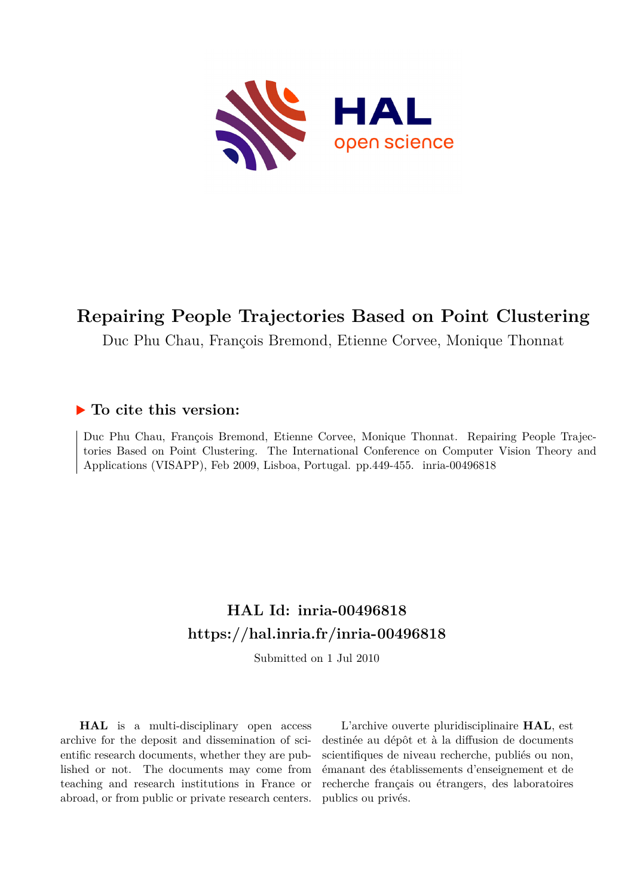

# **Repairing People Trajectories Based on Point Clustering**

Duc Phu Chau, François Bremond, Etienne Corvee, Monique Thonnat

## **To cite this version:**

Duc Phu Chau, François Bremond, Etienne Corvee, Monique Thonnat. Repairing People Trajectories Based on Point Clustering. The International Conference on Computer Vision Theory and Applications (VISAPP), Feb 2009, Lisboa, Portugal. pp.449-455. inria-00496818

# **HAL Id: inria-00496818 <https://hal.inria.fr/inria-00496818>**

Submitted on 1 Jul 2010

**HAL** is a multi-disciplinary open access archive for the deposit and dissemination of scientific research documents, whether they are published or not. The documents may come from teaching and research institutions in France or abroad, or from public or private research centers.

L'archive ouverte pluridisciplinaire **HAL**, est destinée au dépôt et à la diffusion de documents scientifiques de niveau recherche, publiés ou non, émanant des établissements d'enseignement et de recherche français ou étrangers, des laboratoires publics ou privés.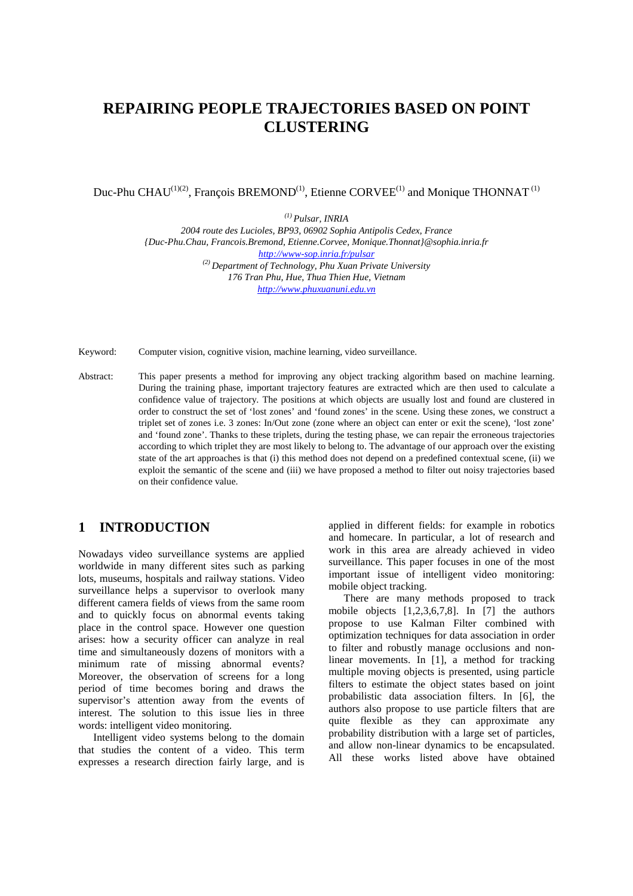## **REPAIRING PEOPLE TRAJECTORIES BASED ON POINT CLUSTERING**

Duc-Phu CHAU<sup>(1)(2)</sup>, François BREMOND<sup>(1)</sup>, Etienne CORVEE<sup>(1)</sup> and Monique THONNAT<sup>(1)</sup>

*(1) Pulsar, INRIA* 

*2004 route des Lucioles, BP93, 06902 Sophia Antipolis Cedex, France {Duc-Phu.Chau, Francois.Bremond, Etienne.Corvee, Monique.Thonnat}@sophia.inria.fr http://www-sop.inria.fr/pulsar (2) Department of Technology, Phu Xuan Private University 176 Tran Phu, Hue, Thua Thien Hue, Vietnam http://www.phuxuanuni.edu.vn* 

Keyword: Computer vision, cognitive vision, machine learning, video surveillance.

Abstract: This paper presents a method for improving any object tracking algorithm based on machine learning. During the training phase, important trajectory features are extracted which are then used to calculate a confidence value of trajectory. The positions at which objects are usually lost and found are clustered in order to construct the set of 'lost zones' and 'found zones' in the scene. Using these zones, we construct a triplet set of zones i.e. 3 zones: In/Out zone (zone where an object can enter or exit the scene), 'lost zone' and 'found zone'. Thanks to these triplets, during the testing phase, we can repair the erroneous trajectories according to which triplet they are most likely to belong to. The advantage of our approach over the existing state of the art approaches is that (i) this method does not depend on a predefined contextual scene, (ii) we exploit the semantic of the scene and (iii) we have proposed a method to filter out noisy trajectories based on their confidence value.

## **1 INTRODUCTION**

Nowadays video surveillance systems are applied worldwide in many different sites such as parking lots, museums, hospitals and railway stations. Video surveillance helps a supervisor to overlook many different camera fields of views from the same room and to quickly focus on abnormal events taking place in the control space. However one question arises: how a security officer can analyze in real time and simultaneously dozens of monitors with a minimum rate of missing abnormal events? Moreover, the observation of screens for a long period of time becomes boring and draws the supervisor's attention away from the events of interest. The solution to this issue lies in three words: intelligent video monitoring.

Intelligent video systems belong to the domain that studies the content of a video. This term expresses a research direction fairly large, and is applied in different fields: for example in robotics and homecare. In particular, a lot of research and work in this area are already achieved in video surveillance. This paper focuses in one of the most important issue of intelligent video monitoring: mobile object tracking.

There are many methods proposed to track mobile objects  $[1,2,3,6,7,8]$ . In  $[7]$  the authors propose to use Kalman Filter combined with optimization techniques for data association in order to filter and robustly manage occlusions and nonlinear movements. In [1], a method for tracking multiple moving objects is presented, using particle filters to estimate the object states based on joint probabilistic data association filters. In [6], the authors also propose to use particle filters that are quite flexible as they can approximate any probability distribution with a large set of particles, and allow non-linear dynamics to be encapsulated. All these works listed above have obtained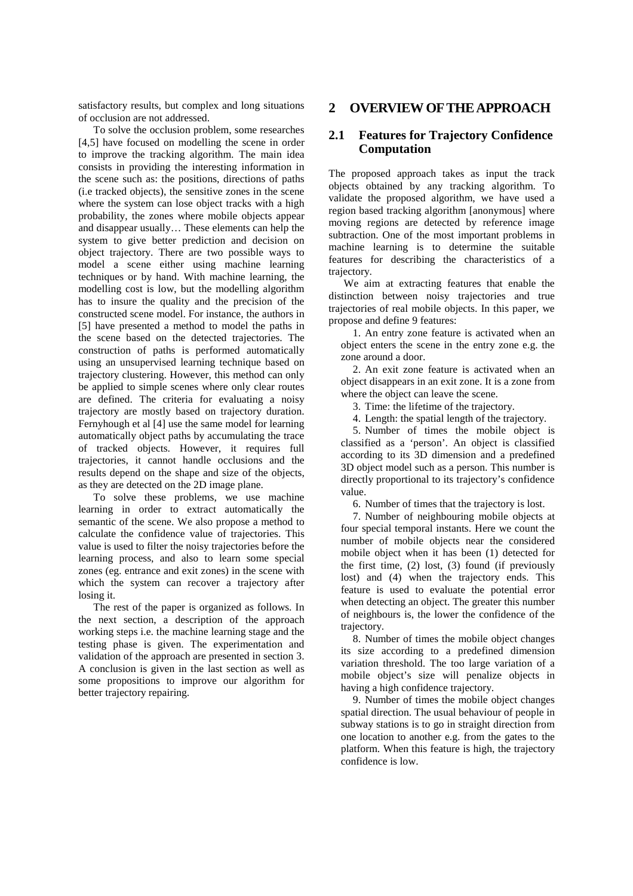satisfactory results, but complex and long situations of occlusion are not addressed.

To solve the occlusion problem, some researches [4,5] have focused on modelling the scene in order to improve the tracking algorithm. The main idea consists in providing the interesting information in the scene such as: the positions, directions of paths (i.e tracked objects), the sensitive zones in the scene where the system can lose object tracks with a high probability, the zones where mobile objects appear and disappear usually… These elements can help the system to give better prediction and decision on object trajectory. There are two possible ways to model a scene either using machine learning techniques or by hand. With machine learning, the modelling cost is low, but the modelling algorithm has to insure the quality and the precision of the constructed scene model. For instance, the authors in [5] have presented a method to model the paths in the scene based on the detected trajectories. The construction of paths is performed automatically using an unsupervised learning technique based on trajectory clustering. However, this method can only be applied to simple scenes where only clear routes are defined. The criteria for evaluating a noisy trajectory are mostly based on trajectory duration. Fernyhough et al [4] use the same model for learning automatically object paths by accumulating the trace of tracked objects. However, it requires full trajectories, it cannot handle occlusions and the results depend on the shape and size of the objects, as they are detected on the 2D image plane.

To solve these problems, we use machine learning in order to extract automatically the semantic of the scene. We also propose a method to calculate the confidence value of trajectories. This value is used to filter the noisy trajectories before the learning process, and also to learn some special zones (eg. entrance and exit zones) in the scene with which the system can recover a trajectory after losing it.

The rest of the paper is organized as follows. In the next section, a description of the approach working steps i.e. the machine learning stage and the testing phase is given. The experimentation and validation of the approach are presented in section 3. A conclusion is given in the last section as well as some propositions to improve our algorithm for better trajectory repairing.

## **2 OVERVIEW OF THE APPROACH**

## **2.1 Features for Trajectory Confidence Computation**

The proposed approach takes as input the track objects obtained by any tracking algorithm. To validate the proposed algorithm, we have used a region based tracking algorithm [anonymous] where moving regions are detected by reference image subtraction. One of the most important problems in machine learning is to determine the suitable features for describing the characteristics of a trajectory.

We aim at extracting features that enable the distinction between noisy trajectories and true trajectories of real mobile objects. In this paper, we propose and define 9 features:

1. An entry zone feature is activated when an object enters the scene in the entry zone e.g. the zone around a door.

2. An exit zone feature is activated when an object disappears in an exit zone. It is a zone from where the object can leave the scene.

3. Time: the lifetime of the trajectory.

4. Length: the spatial length of the trajectory.

5. Number of times the mobile object is classified as a 'person'. An object is classified according to its 3D dimension and a predefined 3D object model such as a person. This number is directly proportional to its trajectory's confidence value.

6. Number of times that the trajectory is lost.

7. Number of neighbouring mobile objects at four special temporal instants. Here we count the number of mobile objects near the considered mobile object when it has been (1) detected for the first time, (2) lost, (3) found (if previously lost) and (4) when the trajectory ends. This feature is used to evaluate the potential error when detecting an object. The greater this number of neighbours is, the lower the confidence of the trajectory.

8. Number of times the mobile object changes its size according to a predefined dimension variation threshold. The too large variation of a mobile object's size will penalize objects in having a high confidence trajectory.

9. Number of times the mobile object changes spatial direction. The usual behaviour of people in subway stations is to go in straight direction from one location to another e.g. from the gates to the platform. When this feature is high, the trajectory confidence is low.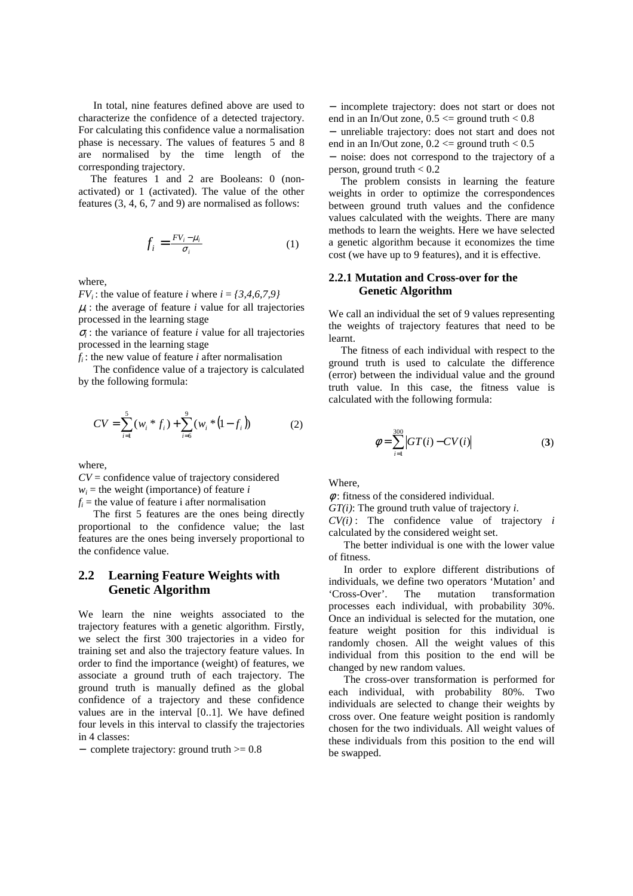In total, nine features defined above are used to characterize the confidence of a detected trajectory. For calculating this confidence value a normalisation phase is necessary. The values of features 5 and 8 are normalised by the time length of the corresponding trajectory.

The features 1 and 2 are Booleans: 0 (nonactivated) or 1 (activated). The value of the other features (3, 4, 6, 7 and 9) are normalised as follows:

$$
f_i = \frac{FV_i - \mu_i}{\sigma_i} \tag{1}
$$

where,

 $FV_i$ : the value of feature *i* where  $i = \{3, 4, 6, 7, 9\}$ 

 $\mu$ <sub>i</sub>: the average of feature *i* value for all trajectories processed in the learning stage

 $\sigma$ <sub>*i*</sub>: the variance of feature *i* value for all trajectories processed in the learning stage

*fi* : the new value of feature *i* after normalisation

The confidence value of a trajectory is calculated by the following formula:

$$
CV = \sum_{i=1}^{5} (w_i * f_i) + \sum_{i=6}^{9} (w_i * (1 - f_i))
$$
 (2)

where,

*CV* = confidence value of trajectory considered  $w_i$  = the weight (importance) of feature *i*  $f_i$  = the value of feature i after normalisation

The first 5 features are the ones being directly proportional to the confidence value; the last features are the ones being inversely proportional to the confidence value.

## **2.2 Learning Feature Weights with Genetic Algorithm**

We learn the nine weights associated to the trajectory features with a genetic algorithm. Firstly, we select the first 300 trajectories in a video for training set and also the trajectory feature values. In order to find the importance (weight) of features, we associate a ground truth of each trajectory. The ground truth is manually defined as the global confidence of a trajectory and these confidence values are in the interval [0..1]. We have defined four levels in this interval to classify the trajectories in 4 classes:

− complete trajectory: ground truth >= 0.8

− incomplete trajectory: does not start or does not end in an In/Out zone,  $0.5 \le$  ground truth  $< 0.8$ 

− unreliable trajectory: does not start and does not end in an In/Out zone,  $0.2 \le$  ground truth  $< 0.5$ 

− noise: does not correspond to the trajectory of a person, ground truth  $< 0.2$ 

The problem consists in learning the feature weights in order to optimize the correspondences between ground truth values and the confidence values calculated with the weights. There are many methods to learn the weights. Here we have selected a genetic algorithm because it economizes the time cost (we have up to 9 features), and it is effective.

#### **2.2.1 Mutation and Cross-over for the Genetic Algorithm**

We call an individual the set of 9 values representing the weights of trajectory features that need to be learnt.

The fitness of each individual with respect to the ground truth is used to calculate the difference (error) between the individual value and the ground truth value. In this case, the fitness value is calculated with the following formula:

$$
\phi = \sum_{i=1}^{300} |GT(i) - CV(i)| \tag{3}
$$

Where,

 $\phi$ : fitness of the considered individual.

*GT(i)*: The ground truth value of trajectory *i*.

 $CV(i)$ : The confidence value of trajectory *i* calculated by the considered weight set.

The better individual is one with the lower value of fitness.

In order to explore different distributions of individuals, we define two operators 'Mutation' and 'Cross-Over'. The mutation transformation processes each individual, with probability 30%. Once an individual is selected for the mutation, one feature weight position for this individual is randomly chosen. All the weight values of this individual from this position to the end will be changed by new random values.

The cross-over transformation is performed for each individual, with probability 80%. Two individuals are selected to change their weights by cross over. One feature weight position is randomly chosen for the two individuals. All weight values of these individuals from this position to the end will be swapped.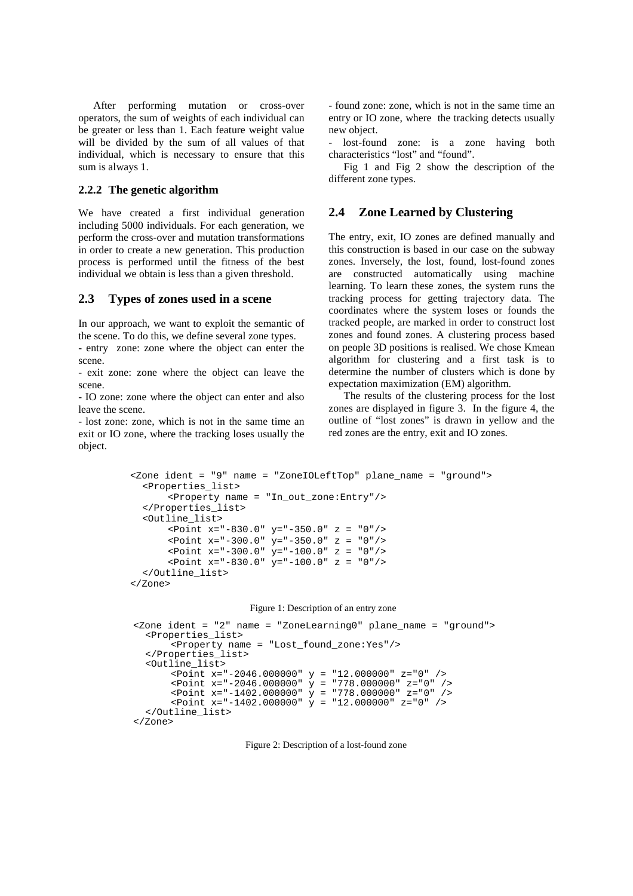After performing mutation or cross-over operators, the sum of weights of each individual can be greater or less than 1. Each feature weight value will be divided by the sum of all values of that individual, which is necessary to ensure that this sum is always 1.

#### **2.2.2 The genetic algorithm**

We have created a first individual generation including 5000 individuals. For each generation, we perform the cross-over and mutation transformations in order to create a new generation. This production process is performed until the fitness of the best individual we obtain is less than a given threshold.

#### **2.3 Types of zones used in a scene**

In our approach, we want to exploit the semantic of the scene. To do this, we define several zone types. - entry zone: zone where the object can enter the scene.

- exit zone: zone where the object can leave the scene.

- IO zone: zone where the object can enter and also leave the scene.

- lost zone: zone, which is not in the same time an exit or IO zone, where the tracking loses usually the object.

- found zone: zone, which is not in the same time an entry or IO zone, where the tracking detects usually new object.

lost-found zone: is a zone having both characteristics "lost" and "found".

Fig 1 and Fig 2 show the description of the different zone types.

#### **2.4 Zone Learned by Clustering**

The entry, exit, IO zones are defined manually and this construction is based in our case on the subway zones. Inversely, the lost, found, lost-found zones are constructed automatically using machine learning. To learn these zones, the system runs the tracking process for getting trajectory data. The coordinates where the system loses or founds the tracked people, are marked in order to construct lost zones and found zones. A clustering process based on people 3D positions is realised. We chose Kmean algorithm for clustering and a first task is to determine the number of clusters which is done by expectation maximization (EM) algorithm.

The results of the clustering process for the lost zones are displayed in figure 3. In the figure 4, the outline of "lost zones" is drawn in yellow and the red zones are the entry, exit and IO zones.

```
<Zone ident = "9" name = "ZoneIOLeftTop" plane_name = "ground"> 
  <Properties_list> 
       <Property name = "In_out_zone:Entry"/> 
  </Properties_list> 
  <Outline_list> 
      <Point x="-830.0" y="-350.0" z = "0"/> 
      <Point x="-300.0" y="-350.0" z = "0"/> 
      <Point x="-300.0" y="-100.0" z = "0"/> 
      <Point x="-830.0" y="-100.0" z = "0"/> 
  </Outline_list> 
</Zone>
```
#### Figure 1: Description of an entry zone

```
<Zone ident = "2" name = "ZoneLearning0" plane_name = "ground"> 
  <Properties_list> 
      <Property name = "Lost_found_zone:Yes"/> 
  </Properties_list> 
  <Outline_list> 
      <Point x="-2046.000000" y = "12.000000" z="0" /> 
   <Point x="-2046.000000" y = "778.000000" z="0" /> 
   <Point x="-1402.000000" y = "778.000000" z="0" /> 
   <Point x="-1402.000000" y = "12.000000" z="0" /> 
  </Outline_list> 
</Zone>
```
Figure 2: Description of a lost-found zone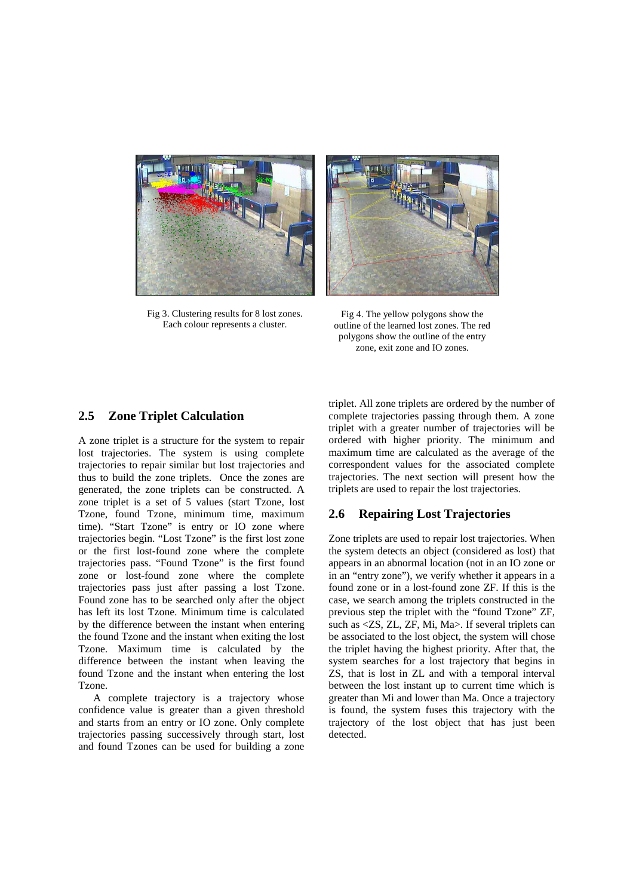

Fig 3. Clustering results for 8 lost zones. Each colour represents a cluster.



Fig 4. The yellow polygons show the outline of the learned lost zones. The red polygons show the outline of the entry zone, exit zone and IO zones.

## **2.5 Zone Triplet Calculation**

A zone triplet is a structure for the system to repair lost trajectories. The system is using complete trajectories to repair similar but lost trajectories and thus to build the zone triplets. Once the zones are generated, the zone triplets can be constructed. A zone triplet is a set of 5 values (start Tzone, lost Tzone, found Tzone, minimum time, maximum time). "Start Tzone" is entry or IO zone where trajectories begin. "Lost Tzone" is the first lost zone or the first lost-found zone where the complete trajectories pass. "Found Tzone" is the first found zone or lost-found zone where the complete trajectories pass just after passing a lost Tzone. Found zone has to be searched only after the object has left its lost Tzone. Minimum time is calculated by the difference between the instant when entering the found Tzone and the instant when exiting the lost Tzone. Maximum time is calculated by the difference between the instant when leaving the found Tzone and the instant when entering the lost Tzone.

A complete trajectory is a trajectory whose confidence value is greater than a given threshold and starts from an entry or IO zone. Only complete trajectories passing successively through start, lost and found Tzones can be used for building a zone

triplet. All zone triplets are ordered by the number of complete trajectories passing through them. A zone triplet with a greater number of trajectories will be ordered with higher priority. The minimum and maximum time are calculated as the average of the correspondent values for the associated complete trajectories. The next section will present how the triplets are used to repair the lost trajectories.

## **2.6 Repairing Lost Trajectories**

Zone triplets are used to repair lost trajectories. When the system detects an object (considered as lost) that appears in an abnormal location (not in an IO zone or in an "entry zone"), we verify whether it appears in a found zone or in a lost-found zone ZF. If this is the case, we search among the triplets constructed in the previous step the triplet with the "found Tzone" ZF, such as  $\langle ZZ, ZL, ZF, Mi, Ma \rangle$ . If several triplets can be associated to the lost object, the system will chose the triplet having the highest priority. After that, the system searches for a lost trajectory that begins in ZS, that is lost in ZL and with a temporal interval between the lost instant up to current time which is greater than Mi and lower than Ma. Once a trajectory is found, the system fuses this trajectory with the trajectory of the lost object that has just been detected.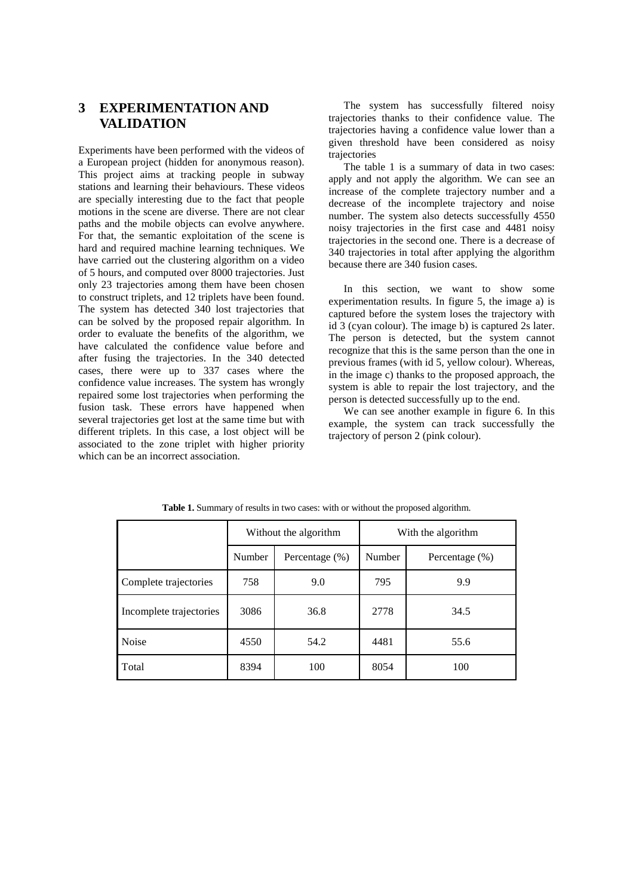## **3 EXPERIMENTATION AND VALIDATION**

Experiments have been performed with the videos of a European project (hidden for anonymous reason). This project aims at tracking people in subway stations and learning their behaviours. These videos are specially interesting due to the fact that people motions in the scene are diverse. There are not clear paths and the mobile objects can evolve anywhere. For that, the semantic exploitation of the scene is hard and required machine learning techniques. We have carried out the clustering algorithm on a video of 5 hours, and computed over 8000 trajectories. Just only 23 trajectories among them have been chosen to construct triplets, and 12 triplets have been found. The system has detected 340 lost trajectories that can be solved by the proposed repair algorithm. In order to evaluate the benefits of the algorithm, we have calculated the confidence value before and after fusing the trajectories. In the 340 detected cases, there were up to 337 cases where the confidence value increases. The system has wrongly repaired some lost trajectories when performing the fusion task. These errors have happened when several trajectories get lost at the same time but with different triplets. In this case, a lost object will be associated to the zone triplet with higher priority which can be an incorrect association.

The system has successfully filtered noisy trajectories thanks to their confidence value. The trajectories having a confidence value lower than a given threshold have been considered as noisy trajectories

The table 1 is a summary of data in two cases: apply and not apply the algorithm. We can see an increase of the complete trajectory number and a decrease of the incomplete trajectory and noise number. The system also detects successfully 4550 noisy trajectories in the first case and 4481 noisy trajectories in the second one. There is a decrease of 340 trajectories in total after applying the algorithm because there are 340 fusion cases.

In this section, we want to show some experimentation results. In figure 5, the image a) is captured before the system loses the trajectory with id 3 (cyan colour). The image b) is captured 2s later. The person is detected, but the system cannot recognize that this is the same person than the one in previous frames (with id 5, yellow colour). Whereas, in the image c) thanks to the proposed approach, the system is able to repair the lost trajectory, and the person is detected successfully up to the end.

We can see another example in figure 6. In this example, the system can track successfully the trajectory of person 2 (pink colour).

|                         | Without the algorithm |                    | With the algorithm |                   |
|-------------------------|-----------------------|--------------------|--------------------|-------------------|
|                         | Number                | Percentage $(\% )$ | Number             | Percentage $(\%)$ |
| Complete trajectories   | 758                   | 9.0                | 795                | 9.9               |
| Incomplete trajectories | 3086                  | 36.8               | 2778               | 34.5              |
| <b>Noise</b>            | 4550                  | 54.2               | 4481               | 55.6              |
| Total                   | 8394                  | 100                | 8054               | 100               |

**Table 1.** Summary of results in two cases: with or without the proposed algorithm.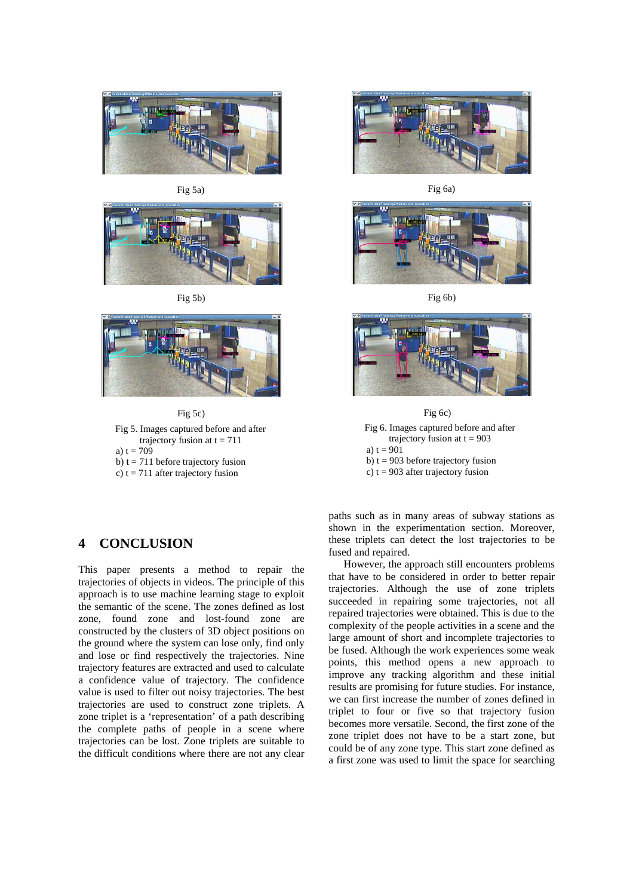





Fig 5b)



Fig 5c)

Fig 5. Images captured before and after trajectory fusion at  $t = 711$ a)  $t = 709$ 

b)  $t = 711$  before trajectory fusion

c)  $t = 711$  after trajectory fusion

## **4 CONCLUSION**

This paper presents a method to repair the trajectories of objects in videos. The principle of this approach is to use machine learning stage to exploit the semantic of the scene. The zones defined as lost zone, found zone and lost-found zone are constructed by the clusters of 3D object positions on the ground where the system can lose only, find only and lose or find respectively the trajectories. Nine trajectory features are extracted and used to calculate a confidence value of trajectory. The confidence value is used to filter out noisy trajectories. The best trajectories are used to construct zone triplets. A zone triplet is a 'representation' of a path describing the complete paths of people in a scene where trajectories can be lost. Zone triplets are suitable to the difficult conditions where there are not any clear



Fig 6a)



Fig 6b)



Fig 6. Images captured before and after trajectory fusion at  $t = 903$ a)  $t = 901$ b)  $t = 903$  before trajectory fusion c)  $t = 903$  after trajectory fusion Fig 6c)

paths such as in many areas of subway stations as shown in the experimentation section. Moreover, these triplets can detect the lost trajectories to be fused and repaired.

However, the approach still encounters problems that have to be considered in order to better repair trajectories. Although the use of zone triplets succeeded in repairing some trajectories, not all repaired trajectories were obtained. This is due to the complexity of the people activities in a scene and the large amount of short and incomplete trajectories to be fused. Although the work experiences some weak points, this method opens a new approach to improve any tracking algorithm and these initial results are promising for future studies. For instance, we can first increase the number of zones defined in triplet to four or five so that trajectory fusion becomes more versatile. Second, the first zone of the zone triplet does not have to be a start zone, but could be of any zone type. This start zone defined as a first zone was used to limit the space for searching